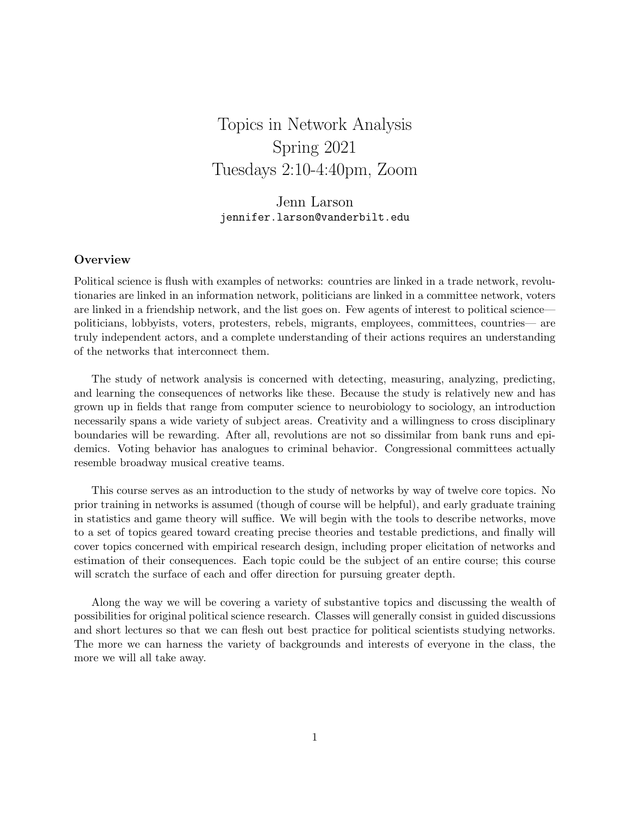# Topics in Network Analysis Spring 2021 Tuesdays 2:10-4:40pm, Zoom

Jenn Larson jennifer.larson@vanderbilt.edu

## **Overview**

Political science is flush with examples of networks: countries are linked in a trade network, revolutionaries are linked in an information network, politicians are linked in a committee network, voters are linked in a friendship network, and the list goes on. Few agents of interest to political science politicians, lobbyists, voters, protesters, rebels, migrants, employees, committees, countries— are truly independent actors, and a complete understanding of their actions requires an understanding of the networks that interconnect them.

The study of network analysis is concerned with detecting, measuring, analyzing, predicting, and learning the consequences of networks like these. Because the study is relatively new and has grown up in fields that range from computer science to neurobiology to sociology, an introduction necessarily spans a wide variety of subject areas. Creativity and a willingness to cross disciplinary boundaries will be rewarding. After all, revolutions are not so dissimilar from bank runs and epidemics. Voting behavior has analogues to criminal behavior. Congressional committees actually resemble broadway musical creative teams.

This course serves as an introduction to the study of networks by way of twelve core topics. No prior training in networks is assumed (though of course will be helpful), and early graduate training in statistics and game theory will suffice. We will begin with the tools to describe networks, move to a set of topics geared toward creating precise theories and testable predictions, and finally will cover topics concerned with empirical research design, including proper elicitation of networks and estimation of their consequences. Each topic could be the subject of an entire course; this course will scratch the surface of each and offer direction for pursuing greater depth.

Along the way we will be covering a variety of substantive topics and discussing the wealth of possibilities for original political science research. Classes will generally consist in guided discussions and short lectures so that we can flesh out best practice for political scientists studying networks. The more we can harness the variety of backgrounds and interests of everyone in the class, the more we will all take away.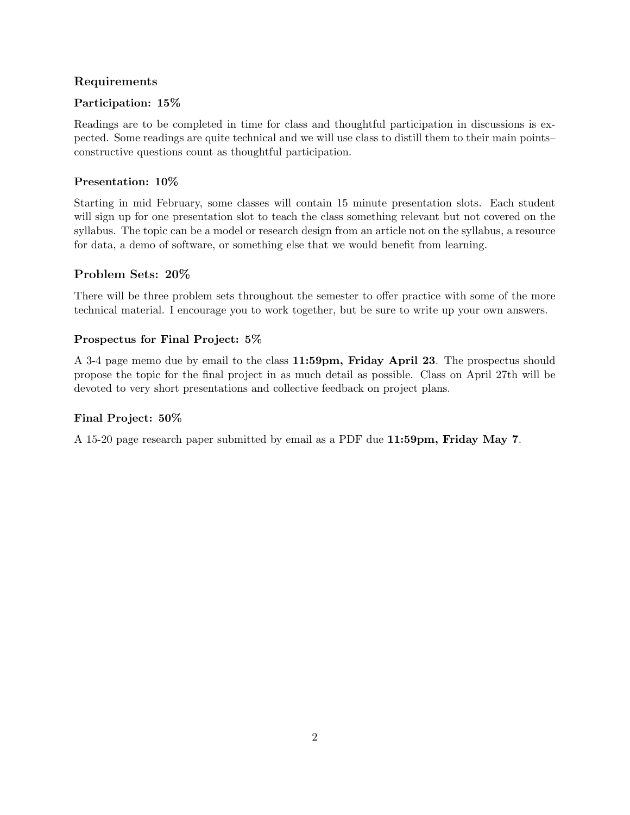## Requirements

## Participation: 15%

Readings are to be completed in time for class and thoughtful participation in discussions is expected. Some readings are quite technical and we will use class to distill them to their main points– constructive questions count as thoughtful participation.

## Presentation: 10%

Starting in mid February, some classes will contain 15 minute presentation slots. Each student will sign up for one presentation slot to teach the class something relevant but not covered on the syllabus. The topic can be a model or research design from an article not on the syllabus, a resource for data, a demo of software, or something else that we would benefit from learning.

## Problem Sets: 20%

There will be three problem sets throughout the semester to offer practice with some of the more technical material. I encourage you to work together, but be sure to write up your own answers.

## Prospectus for Final Project: 5%

A 3-4 page memo due by email to the class 11:59pm, Friday April 23. The prospectus should propose the topic for the final project in as much detail as possible. Class on April 27th will be devoted to very short presentations and collective feedback on project plans.

## Final Project: 50%

A 15-20 page research paper submitted by email as a PDF due 11:59pm, Friday May 7.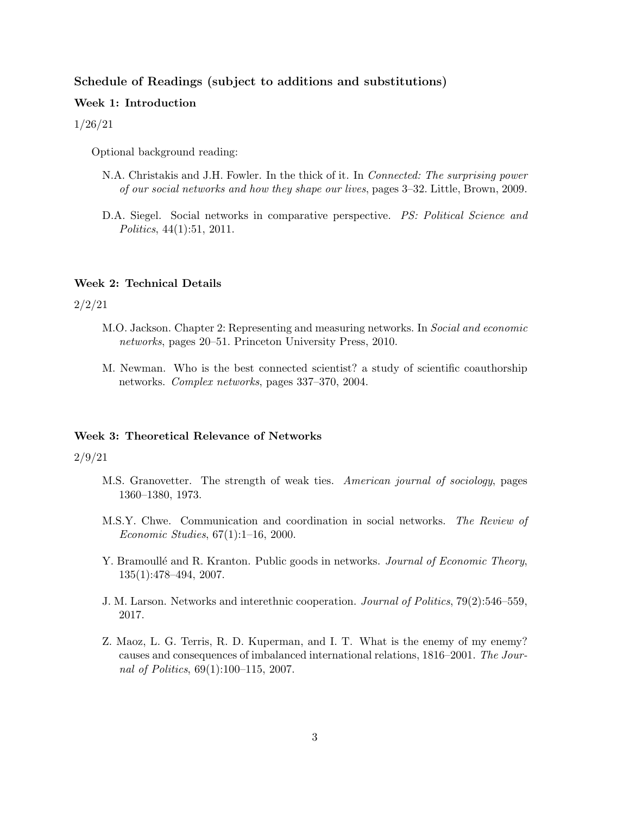## Schedule of Readings (subject to additions and substitutions)

## Week 1: Introduction

#### 1/26/21

Optional background reading:

- N.A. Christakis and J.H. Fowler. In the thick of it. In Connected: The surprising power of our social networks and how they shape our lives, pages 3–32. Little, Brown, 2009.
- D.A. Siegel. Social networks in comparative perspective. PS: Political Science and Politics, 44(1):51, 2011.

#### Week 2: Technical Details

#### 2/2/21

- M.O. Jackson. Chapter 2: Representing and measuring networks. In Social and economic networks, pages 20–51. Princeton University Press, 2010.
- M. Newman. Who is the best connected scientist? a study of scientific coauthorship networks. Complex networks, pages 337–370, 2004.

#### Week 3: Theoretical Relevance of Networks

#### 2/9/21

- M.S. Granovetter. The strength of weak ties. American journal of sociology, pages 1360–1380, 1973.
- M.S.Y. Chwe. Communication and coordination in social networks. The Review of Economic Studies, 67(1):1–16, 2000.
- Y. Bramoullé and R. Kranton. Public goods in networks. Journal of Economic Theory, 135(1):478–494, 2007.
- J. M. Larson. Networks and interethnic cooperation. Journal of Politics, 79(2):546–559, 2017.
- Z. Maoz, L. G. Terris, R. D. Kuperman, and I. T. What is the enemy of my enemy? causes and consequences of imbalanced international relations, 1816–2001. The Journal of Politics, 69(1):100–115, 2007.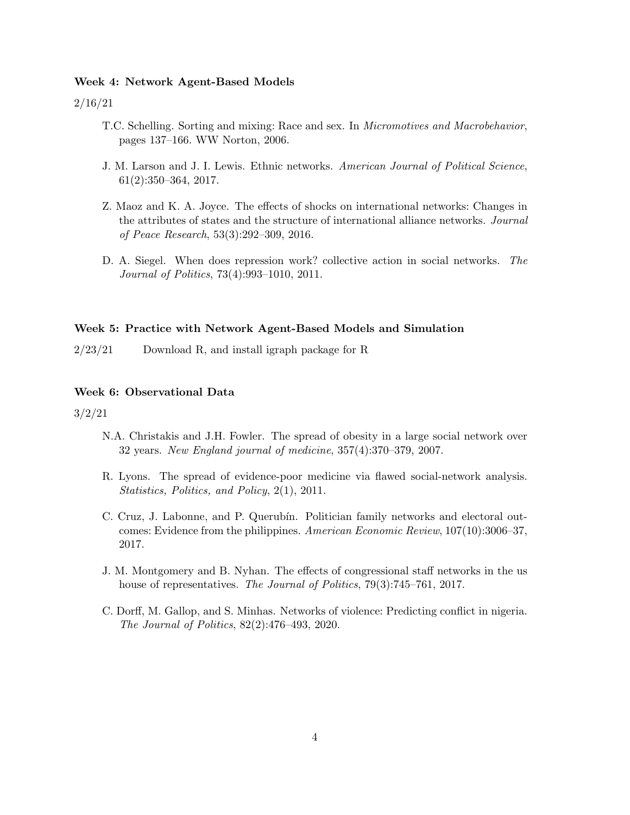#### Week 4: Network Agent-Based Models

2/16/21

- T.C. Schelling. Sorting and mixing: Race and sex. In Micromotives and Macrobehavior, pages 137–166. WW Norton, 2006.
- J. M. Larson and J. I. Lewis. Ethnic networks. American Journal of Political Science, 61(2):350–364, 2017.
- Z. Maoz and K. A. Joyce. The effects of shocks on international networks: Changes in the attributes of states and the structure of international alliance networks. Journal of Peace Research, 53(3):292–309, 2016.
- D. A. Siegel. When does repression work? collective action in social networks. The Journal of Politics, 73(4):993–1010, 2011.

#### Week 5: Practice with Network Agent-Based Models and Simulation

2/23/21 Download R, and install igraph package for R

#### Week 6: Observational Data

3/2/21

- N.A. Christakis and J.H. Fowler. The spread of obesity in a large social network over 32 years. New England journal of medicine, 357(4):370–379, 2007.
- R. Lyons. The spread of evidence-poor medicine via flawed social-network analysis. Statistics, Politics, and Policy, 2(1), 2011.
- C. Cruz, J. Labonne, and P. Querubín. Politician family networks and electoral outcomes: Evidence from the philippines. American Economic Review, 107(10):3006–37, 2017.
- J. M. Montgomery and B. Nyhan. The effects of congressional staff networks in the us house of representatives. The Journal of Politics, 79(3):745–761, 2017.
- C. Dorff, M. Gallop, and S. Minhas. Networks of violence: Predicting conflict in nigeria. The Journal of Politics, 82(2):476–493, 2020.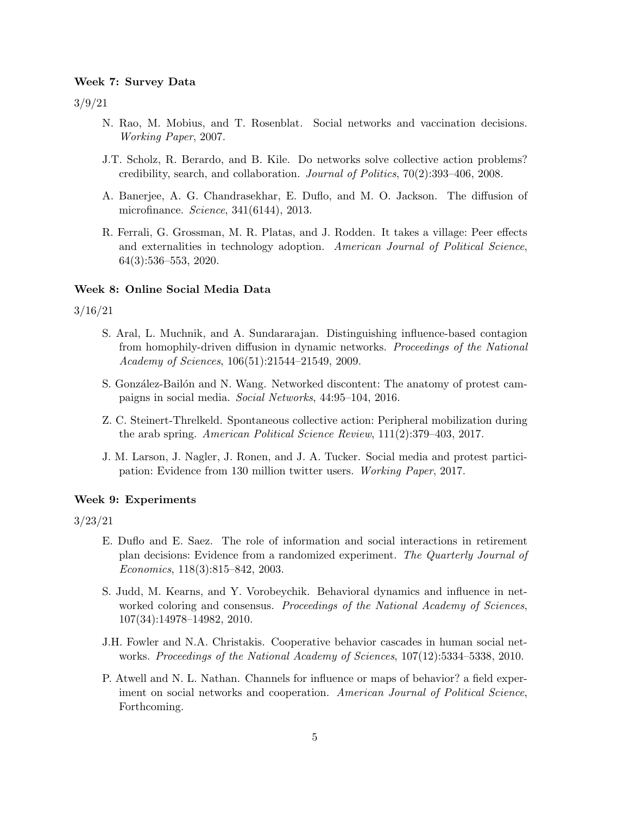#### Week 7: Survey Data

3/9/21

- N. Rao, M. Mobius, and T. Rosenblat. Social networks and vaccination decisions. Working Paper, 2007.
- J.T. Scholz, R. Berardo, and B. Kile. Do networks solve collective action problems? credibility, search, and collaboration. Journal of Politics, 70(2):393–406, 2008.
- A. Banerjee, A. G. Chandrasekhar, E. Duflo, and M. O. Jackson. The diffusion of microfinance. Science, 341(6144), 2013.
- R. Ferrali, G. Grossman, M. R. Platas, and J. Rodden. It takes a village: Peer effects and externalities in technology adoption. American Journal of Political Science, 64(3):536–553, 2020.

#### Week 8: Online Social Media Data

3/16/21

- S. Aral, L. Muchnik, and A. Sundararajan. Distinguishing influence-based contagion from homophily-driven diffusion in dynamic networks. Proceedings of the National Academy of Sciences, 106(51):21544–21549, 2009.
- S. González-Bailón and N. Wang. Networked discontent: The anatomy of protest campaigns in social media. Social Networks, 44:95–104, 2016.
- Z. C. Steinert-Threlkeld. Spontaneous collective action: Peripheral mobilization during the arab spring. American Political Science Review, 111(2):379–403, 2017.
- J. M. Larson, J. Nagler, J. Ronen, and J. A. Tucker. Social media and protest participation: Evidence from 130 million twitter users. Working Paper, 2017.

#### Week 9: Experiments

3/23/21

- E. Duflo and E. Saez. The role of information and social interactions in retirement plan decisions: Evidence from a randomized experiment. The Quarterly Journal of Economics, 118(3):815–842, 2003.
- S. Judd, M. Kearns, and Y. Vorobeychik. Behavioral dynamics and influence in networked coloring and consensus. Proceedings of the National Academy of Sciences, 107(34):14978–14982, 2010.
- J.H. Fowler and N.A. Christakis. Cooperative behavior cascades in human social networks. Proceedings of the National Academy of Sciences, 107(12):5334–5338, 2010.
- P. Atwell and N. L. Nathan. Channels for influence or maps of behavior? a field experiment on social networks and cooperation. American Journal of Political Science, Forthcoming.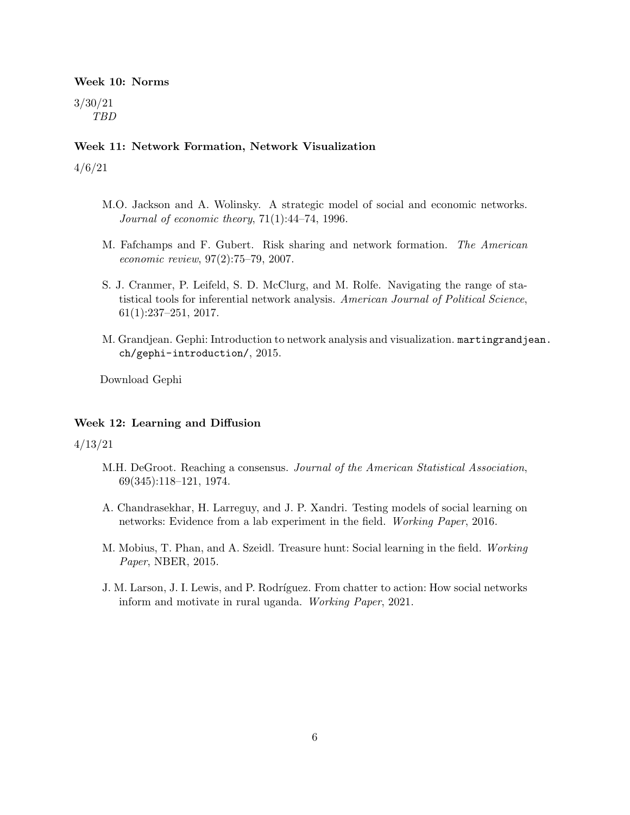## Week 10: Norms

3/30/21 TBD

#### Week 11: Network Formation, Network Visualization

4/6/21

- M.O. Jackson and A. Wolinsky. A strategic model of social and economic networks. Journal of economic theory, 71(1):44–74, 1996.
- M. Fafchamps and F. Gubert. Risk sharing and network formation. The American economic review, 97(2):75–79, 2007.
- S. J. Cranmer, P. Leifeld, S. D. McClurg, and M. Rolfe. Navigating the range of statistical tools for inferential network analysis. American Journal of Political Science, 61(1):237–251, 2017.
- M. Grandjean. Gephi: Introduction to network analysis and visualization. martingrandjean. ch/gephi-introduction/, 2015.

Download Gephi

#### Week 12: Learning and Diffusion

4/13/21

- M.H. DeGroot. Reaching a consensus. Journal of the American Statistical Association, 69(345):118–121, 1974.
- A. Chandrasekhar, H. Larreguy, and J. P. Xandri. Testing models of social learning on networks: Evidence from a lab experiment in the field. Working Paper, 2016.
- M. Mobius, T. Phan, and A. Szeidl. Treasure hunt: Social learning in the field. Working Paper, NBER, 2015.
- J. M. Larson, J. I. Lewis, and P. Rodríguez. From chatter to action: How social networks inform and motivate in rural uganda. Working Paper, 2021.